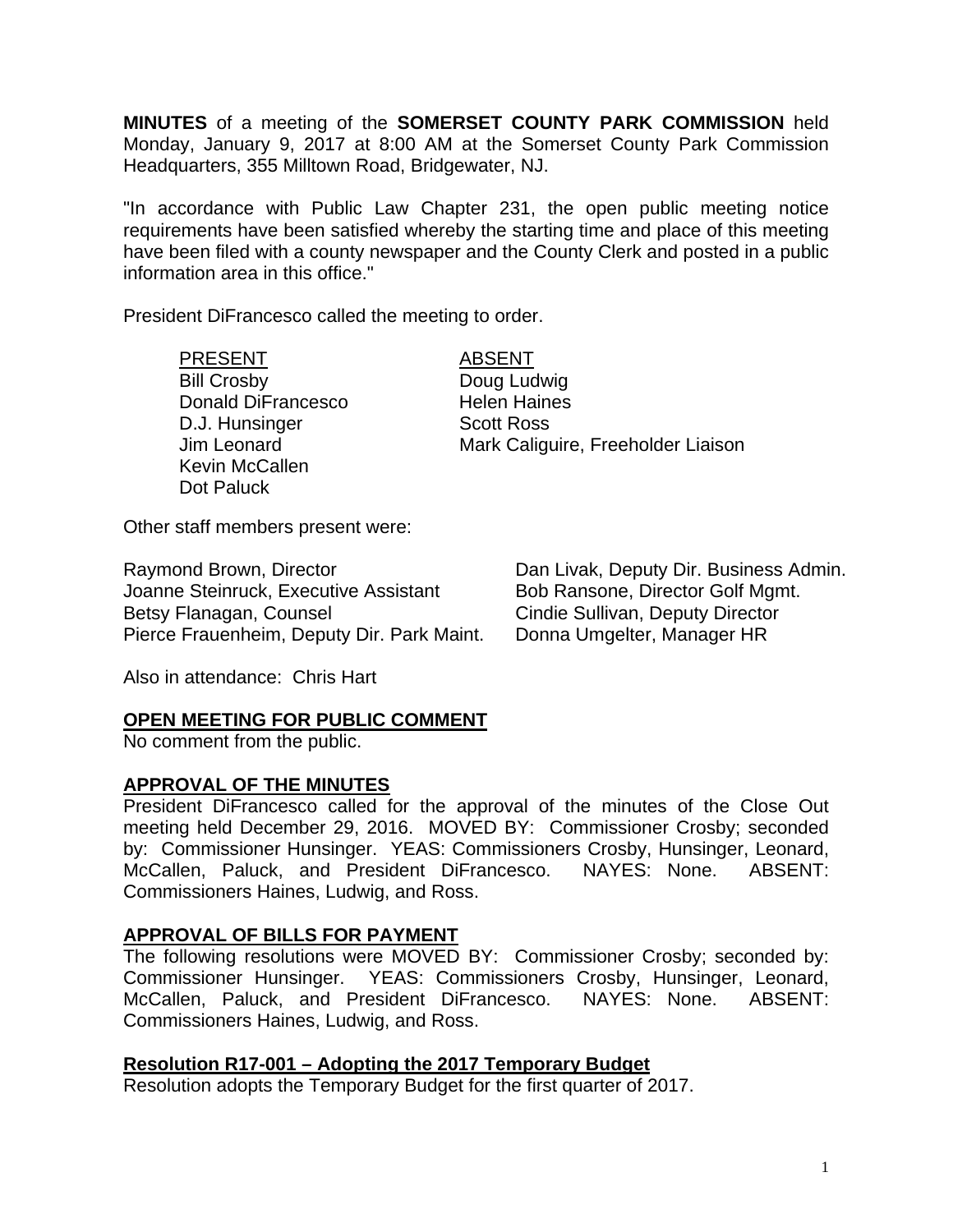**MINUTES** of a meeting of the **SOMERSET COUNTY PARK COMMISSION** held Monday, January 9, 2017 at 8:00 AM at the Somerset County Park Commission Headquarters, 355 Milltown Road, Bridgewater, NJ.

"In accordance with Public Law Chapter 231, the open public meeting notice requirements have been satisfied whereby the starting time and place of this meeting have been filed with a county newspaper and the County Clerk and posted in a public information area in this office."

President DiFrancesco called the meeting to order.

## PRESENT ABSENT

Bill Crosby Doug Ludwig Donald DiFrancesco Helen Haines D.J. Hunsinger Scott Ross Kevin McCallen Dot Paluck

Jim Leonard Mark Caliguire, Freeholder Liaison

Other staff members present were:

Raymond Brown, Director **Dan Livak, Deputy Dir. Business Admin.**<br>Joanne Steinruck, Executive Assistant Bob Ransone, Director Golf Mgmt. Joanne Steinruck, Executive Assistant Betsy Flanagan, Counsel **Cindie Sullivan, Deputy Director** Pierce Frauenheim, Deputy Dir. Park Maint. Donna Umgelter, Manager HR

Also in attendance: Chris Hart

#### **OPEN MEETING FOR PUBLIC COMMENT**

No comment from the public.

#### **APPROVAL OF THE MINUTES**

President DiFrancesco called for the approval of the minutes of the Close Out meeting held December 29, 2016. MOVED BY: Commissioner Crosby; seconded by: Commissioner Hunsinger. YEAS: Commissioners Crosby, Hunsinger, Leonard, McCallen, Paluck, and President DiFrancesco. NAYES: None. ABSENT: Commissioners Haines, Ludwig, and Ross.

## **APPROVAL OF BILLS FOR PAYMENT**

The following resolutions were MOVED BY: Commissioner Crosby; seconded by: Commissioner Hunsinger. YEAS: Commissioners Crosby, Hunsinger, Leonard, McCallen, Paluck, and President DiFrancesco. NAYES: None. ABSENT: Commissioners Haines, Ludwig, and Ross.

## **Resolution R17-001 – Adopting the 2017 Temporary Budget**

Resolution adopts the Temporary Budget for the first quarter of 2017.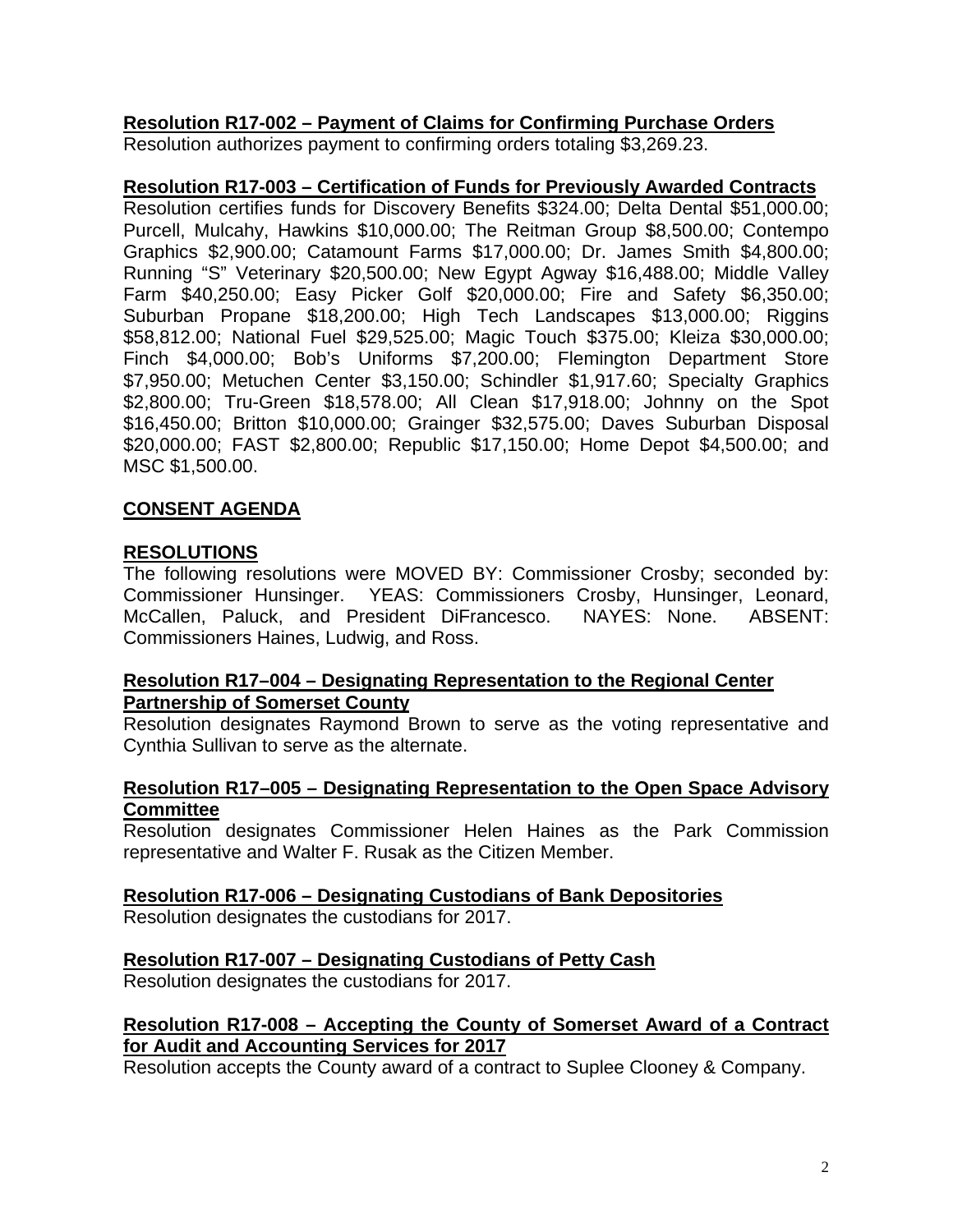# **Resolution R17-002 – Payment of Claims for Confirming Purchase Orders**

Resolution authorizes payment to confirming orders totaling \$3,269.23.

### **Resolution R17-003 – Certification of Funds for Previously Awarded Contracts**

Resolution certifies funds for Discovery Benefits \$324.00; Delta Dental \$51,000.00; Purcell, Mulcahy, Hawkins \$10,000.00; The Reitman Group \$8,500.00; Contempo Graphics \$2,900.00; Catamount Farms \$17,000.00; Dr. James Smith \$4,800.00; Running "S" Veterinary \$20,500.00; New Egypt Agway \$16,488.00; Middle Valley Farm \$40,250.00; Easy Picker Golf \$20,000.00; Fire and Safety \$6,350.00; Suburban Propane \$18,200.00; High Tech Landscapes \$13,000.00; Riggins \$58,812.00; National Fuel \$29,525.00; Magic Touch \$375.00; Kleiza \$30,000.00; Finch \$4,000.00; Bob's Uniforms \$7,200.00; Flemington Department Store \$7,950.00; Metuchen Center \$3,150.00; Schindler \$1,917.60; Specialty Graphics \$2,800.00; Tru-Green \$18,578.00; All Clean \$17,918.00; Johnny on the Spot \$16,450.00; Britton \$10,000.00; Grainger \$32,575.00; Daves Suburban Disposal \$20,000.00; FAST \$2,800.00; Republic \$17,150.00; Home Depot \$4,500.00; and MSC \$1,500.00.

# **CONSENT AGENDA**

### **RESOLUTIONS**

The following resolutions were MOVED BY: Commissioner Crosby; seconded by: Commissioner Hunsinger. YEAS: Commissioners Crosby, Hunsinger, Leonard, McCallen, Paluck, and President DiFrancesco. NAYES: None. ABSENT: Commissioners Haines, Ludwig, and Ross.

## **Resolution R17–004 – Designating Representation to the Regional Center Partnership of Somerset County**

Resolution designates Raymond Brown to serve as the voting representative and Cynthia Sullivan to serve as the alternate.

## **Resolution R17–005 – Designating Representation to the Open Space Advisory Committee**

Resolution designates Commissioner Helen Haines as the Park Commission representative and Walter F. Rusak as the Citizen Member.

## **Resolution R17-006 – Designating Custodians of Bank Depositories**

Resolution designates the custodians for 2017.

## **Resolution R17-007 – Designating Custodians of Petty Cash**

Resolution designates the custodians for 2017.

# **Resolution R17-008 – Accepting the County of Somerset Award of a Contract for Audit and Accounting Services for 2017**

Resolution accepts the County award of a contract to Suplee Clooney & Company.